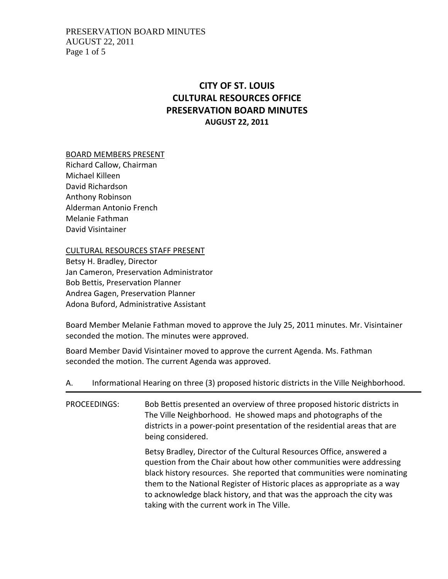## PRESERVATION BOARD MINUTES AUGUST 22, 2011 Page 1 of 5

# **CITY OF ST. LOUIS CULTURAL RESOURCES OFFICE PRESERVATION BOARD MINUTES AUGUST 22, 2011**

### BOARD MEMBERS PRESENT

Richard Callow, Chairman Michael Killeen David Richardson Anthony Robinson Alderman Antonio French Melanie Fathman David Visintainer

CULTURAL RESOURCES STAFF PRESENT

Betsy H. Bradley, Director Jan Cameron, Preservation Administrator Bob Bettis, Preservation Planner Andrea Gagen, Preservation Planner Adona Buford, Administrative Assistant

Board Member Melanie Fathman moved to approve the July 25, 2011 minutes. Mr. Visintainer seconded the motion. The minutes were approved.

Board Member David Visintainer moved to approve the current Agenda. Ms. Fathman seconded the motion. The current Agenda was approved.

| А.                  | Informational Hearing on three (3) proposed historic districts in the Ville Neighborhood.                                                                                                                                                                                                                                                                                                                               |
|---------------------|-------------------------------------------------------------------------------------------------------------------------------------------------------------------------------------------------------------------------------------------------------------------------------------------------------------------------------------------------------------------------------------------------------------------------|
| <b>PROCEEDINGS:</b> | Bob Bettis presented an overview of three proposed historic districts in<br>The Ville Neighborhood. He showed maps and photographs of the<br>districts in a power-point presentation of the residential areas that are<br>being considered.                                                                                                                                                                             |
|                     | Betsy Bradley, Director of the Cultural Resources Office, answered a<br>question from the Chair about how other communities were addressing<br>black history resources. She reported that communities were nominating<br>them to the National Register of Historic places as appropriate as a way<br>to acknowledge black history, and that was the approach the city was<br>taking with the current work in The Ville. |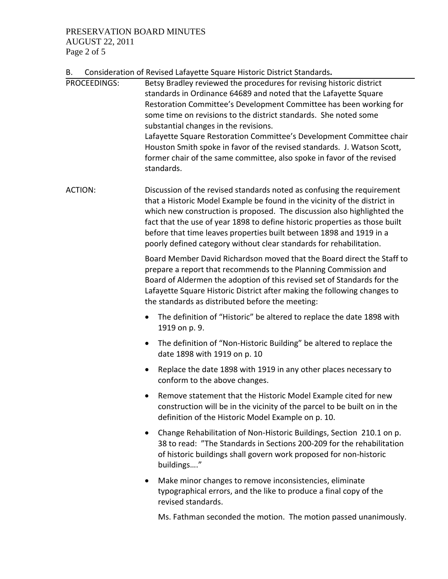# PRESERVATION BOARD MINUTES AUGUST 22, 2011

Page 2 of 5

B. Consideration of Revised Lafayette Square Historic District Standards**.** 

|                | Consideration or nevised Larayette Square mstoric District Standards.                                                                                                                                                                                                                                                                                                                                                                                                                                                                                                  |
|----------------|------------------------------------------------------------------------------------------------------------------------------------------------------------------------------------------------------------------------------------------------------------------------------------------------------------------------------------------------------------------------------------------------------------------------------------------------------------------------------------------------------------------------------------------------------------------------|
| PROCEEDINGS:   | Betsy Bradley reviewed the procedures for revising historic district<br>standards in Ordinance 64689 and noted that the Lafayette Square<br>Restoration Committee's Development Committee has been working for<br>some time on revisions to the district standards. She noted some<br>substantial changes in the revisions.<br>Lafayette Square Restoration Committee's Development Committee chair<br>Houston Smith spoke in favor of the revised standards. J. Watson Scott,<br>former chair of the same committee, also spoke in favor of the revised<br>standards. |
| <b>ACTION:</b> | Discussion of the revised standards noted as confusing the requirement<br>that a Historic Model Example be found in the vicinity of the district in<br>which new construction is proposed. The discussion also highlighted the<br>fact that the use of year 1898 to define historic properties as those built<br>before that time leaves properties built between 1898 and 1919 in a<br>poorly defined category without clear standards for rehabilitation.                                                                                                            |
|                | Board Member David Richardson moved that the Board direct the Staff to<br>prepare a report that recommends to the Planning Commission and<br>Board of Aldermen the adoption of this revised set of Standards for the<br>Lafayette Square Historic District after making the following changes to<br>the standards as distributed before the meeting:                                                                                                                                                                                                                   |
|                | The definition of "Historic" be altered to replace the date 1898 with<br>$\bullet$<br>1919 on p. 9.                                                                                                                                                                                                                                                                                                                                                                                                                                                                    |
|                | The definition of "Non-Historic Building" be altered to replace the<br>$\bullet$<br>date 1898 with 1919 on p. 10                                                                                                                                                                                                                                                                                                                                                                                                                                                       |
|                | Replace the date 1898 with 1919 in any other places necessary to<br>$\bullet$<br>conform to the above changes.                                                                                                                                                                                                                                                                                                                                                                                                                                                         |
|                | Remove statement that the Historic Model Example cited for new<br>construction will be in the vicinity of the parcel to be built on in the<br>definition of the Historic Model Example on p. 10.                                                                                                                                                                                                                                                                                                                                                                       |
|                | Change Rehabilitation of Non-Historic Buildings, Section 210.1 on p.<br>$\bullet$<br>38 to read: "The Standards in Sections 200-209 for the rehabilitation<br>of historic buildings shall govern work proposed for non-historic<br>buildings"                                                                                                                                                                                                                                                                                                                          |
|                | Make minor changes to remove inconsistencies, eliminate<br>$\bullet$<br>typographical errors, and the like to produce a final copy of the<br>revised standards.                                                                                                                                                                                                                                                                                                                                                                                                        |
|                | Ms. Fathman seconded the motion. The motion passed unanimously.                                                                                                                                                                                                                                                                                                                                                                                                                                                                                                        |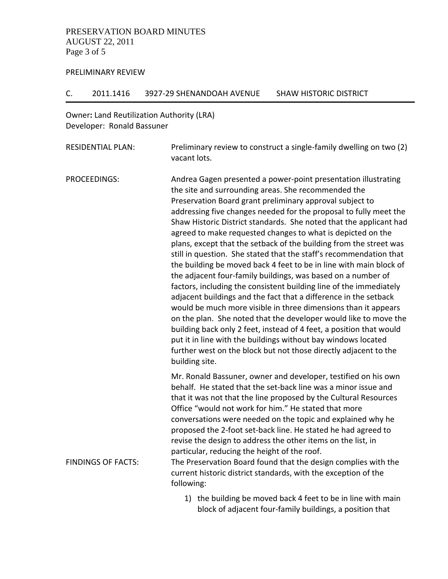## PRESERVATION BOARD MINUTES AUGUST 22, 2011 Page 3 of 5

#### PRELIMINARY REVIEW

#### C. 2011.1416 3927‐29 SHENANDOAH AVENUE SHAW HISTORIC DISTRICT

# Owner**:** Land Reutilization Authority (LRA) Developer: Ronald Bassuner

| RESIDENTIAL PLAN: | Preliminary review to construct a single-family dwelling on two (2) |
|-------------------|---------------------------------------------------------------------|
|                   | vacant lots.                                                        |

PROCEEDINGS: Andrea Gagen presented a power‐point presentation illustrating the site and surrounding areas. She recommended the Preservation Board grant preliminary approval subject to addressing five changes needed for the proposal to fully meet the Shaw Historic District standards. She noted that the applicant had agreed to make requested changes to what is depicted on the plans, except that the setback of the building from the street was still in question. She stated that the staff's recommendation that the building be moved back 4 feet to be in line with main block of the adjacent four‐family buildings, was based on a number of factors, including the consistent building line of the immediately adjacent buildings and the fact that a difference in the setback would be much more visible in three dimensions than it appears on the plan. She noted that the developer would like to move the building back only 2 feet, instead of 4 feet, a position that would put it in line with the buildings without bay windows located further west on the block but not those directly adjacent to the building site. Mr. Ronald Bassuner, owner and developer, testified on his own behalf. He stated that the set‐back line was a minor issue and that it was not that the line proposed by the Cultural Resources Office "would not work for him." He stated that more conversations were needed on the topic and explained why he proposed the 2‐foot set‐back line. He stated he had agreed to revise the design to address the other items on the list, in particular, reducing the height of the roof. FINDINGS OF FACTS: The Preservation Board found that the design complies with the current historic district standards, with the exception of the

following:

1) the building be moved back 4 feet to be in line with main block of adjacent four‐family buildings, a position that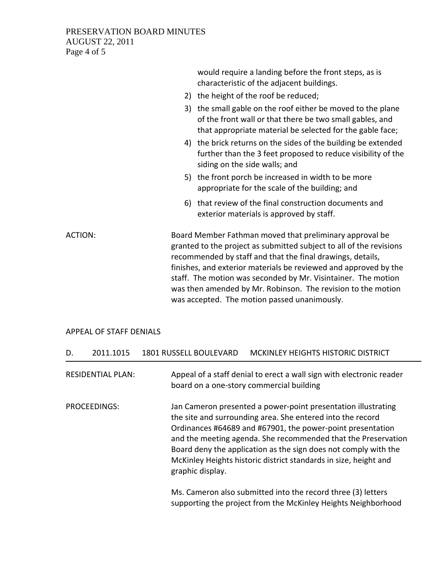## PRESERVATION BOARD MINUTES AUGUST 22, 2011 Page 4 of 5

|                | would require a landing before the front steps, as is<br>characteristic of the adjacent buildings.                                                                                                                                                                                                                                                                                                                                                |  |
|----------------|---------------------------------------------------------------------------------------------------------------------------------------------------------------------------------------------------------------------------------------------------------------------------------------------------------------------------------------------------------------------------------------------------------------------------------------------------|--|
|                | 2) the height of the roof be reduced;                                                                                                                                                                                                                                                                                                                                                                                                             |  |
|                | 3) the small gable on the roof either be moved to the plane<br>of the front wall or that there be two small gables, and<br>that appropriate material be selected for the gable face;                                                                                                                                                                                                                                                              |  |
|                | 4) the brick returns on the sides of the building be extended<br>further than the 3 feet proposed to reduce visibility of the<br>siding on the side walls; and                                                                                                                                                                                                                                                                                    |  |
|                | 5) the front porch be increased in width to be more<br>appropriate for the scale of the building; and                                                                                                                                                                                                                                                                                                                                             |  |
|                | 6) that review of the final construction documents and<br>exterior materials is approved by staff.                                                                                                                                                                                                                                                                                                                                                |  |
| <b>ACTION:</b> | Board Member Fathman moved that preliminary approval be<br>granted to the project as submitted subject to all of the revisions<br>recommended by staff and that the final drawings, details,<br>finishes, and exterior materials be reviewed and approved by the<br>staff. The motion was seconded by Mr. Visintainer. The motion<br>was then amended by Mr. Robinson. The revision to the motion<br>was accepted. The motion passed unanimously. |  |

## APPEAL OF STAFF DENIALS

| D. | 2011.1015                | <b>1801 RUSSELL BOULEVARD</b> | MCKINLEY HEIGHTS HISTORIC DISTRICT                                                                                                                                                                                                                                                                                                                                                                |
|----|--------------------------|-------------------------------|---------------------------------------------------------------------------------------------------------------------------------------------------------------------------------------------------------------------------------------------------------------------------------------------------------------------------------------------------------------------------------------------------|
|    | <b>RESIDENTIAL PLAN:</b> |                               | Appeal of a staff denial to erect a wall sign with electronic reader<br>board on a one-story commercial building                                                                                                                                                                                                                                                                                  |
|    | PROCEEDINGS:             | graphic display.              | Jan Cameron presented a power-point presentation illustrating<br>the site and surrounding area. She entered into the record<br>Ordinances #64689 and #67901, the power-point presentation<br>and the meeting agenda. She recommended that the Preservation<br>Board deny the application as the sign does not comply with the<br>McKinley Heights historic district standards in size, height and |
|    |                          |                               | Ms. Cameron also submitted into the record three (3) letters<br>supporting the project from the McKinley Heights Neighborhood                                                                                                                                                                                                                                                                     |